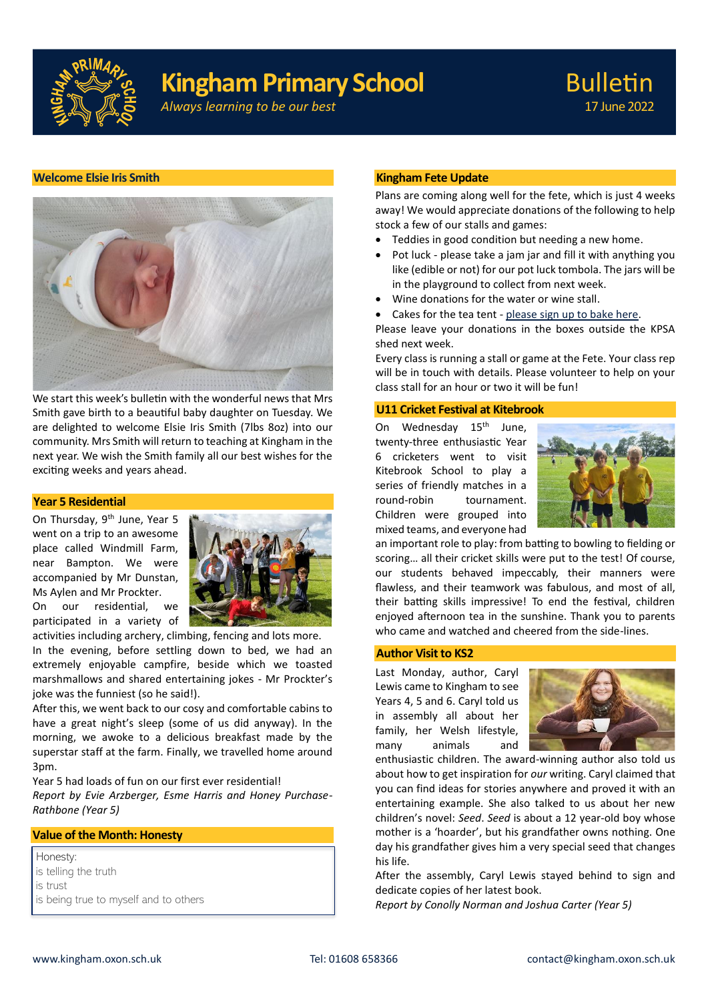

# **Kingham Primary School**

*Always learning to be our best*

# **Welcome Elsie Iris Smith**



We start this week's bulletin with the wonderful news that Mrs Smith gave birth to a beautiful baby daughter on Tuesday. We are delighted to welcome Elsie Iris Smith (7lbs 8oz) into our community. Mrs Smith will return to teaching at Kingham in the next year. We wish the Smith family all our best wishes for the exciting weeks and years ahead.

# **Year 5 Residential**

On Thursday, 9<sup>th</sup> June, Year 5 went on a trip to an awesome place called Windmill Farm, near Bampton. We were accompanied by Mr Dunstan, Ms Aylen and Mr Prockter.

On our residential, we participated in a variety of

activities including archery, climbing, fencing and lots more.

In the evening, before settling down to bed, we had an extremely enjoyable campfire, beside which we toasted marshmallows and shared entertaining jokes - Mr Prockter's joke was the funniest (so he said!).

After this, we went back to our cosy and comfortable cabins to have a great night's sleep (some of us did anyway). In the morning, we awoke to a delicious breakfast made by the superstar staff at the farm. Finally, we travelled home around 3pm.

Year 5 had loads of fun on our first ever residential!

*Report by Evie Arzberger, Esme Harris and Honey Purchase-Rathbone (Year 5)*

# **Value of the Month: Honesty**

Honesty: is telling the truth is trust is being true to myself and to others

# **Kingham Fete Update**

Plans are coming along well for the fete, which is just 4 weeks away! We would appreciate donations of the following to help stock a few of our stalls and games:

- Teddies in good condition but needing a new home.
- Pot luck please take a jam jar and fill it with anything you like (edible or not) for our pot luck tombola. The jars will be in the playground to collect from next week.
- Wine donations for the water or wine stall.
- Cakes for the tea tent please sign up to bake here.

Please leave your donations in the boxes outside the KPSA shed next week.

Every class is running a stall or game at the Fete. Your class rep will be in touch with details. Please volunteer to help on your class stall for an hour or two it will be fun!

# **U11 Cricket Festival at Kitebrook**

On Wednesday 15<sup>th</sup> June, twenty-three enthusiastic Year 6 cricketers went to visit Kitebrook School to play a series of friendly matches in a round-robin tournament. Children were grouped into mixed teams, and everyone had



an important role to play: from batting to bowling to fielding or scoring… all their cricket skills were put to the test! Of course, our students behaved impeccably, their manners were flawless, and their teamwork was fabulous, and most of all, their batting skills impressive! To end the festival, children enjoyed afternoon tea in the sunshine. Thank you to parents who came and watched and cheered from the side-lines.

# **Author Visit to KS2**

Last Monday, author, Caryl Lewis came to Kingham to see Years 4, 5 and 6. Caryl told us in assembly all about her family, her Welsh lifestyle, many animals and



enthusiastic children. The award-winning author also told us about how to get inspiration for *our* writing. Caryl claimed that you can find ideas for stories anywhere and proved it with an entertaining example. She also talked to us about her new children's novel: *Seed*. *Seed* is about a 12 year-old boy whose mother is a 'hoarder', but his grandfather owns nothing. One day his grandfather gives him a very special seed that changes his life.

After the assembly, Caryl Lewis stayed behind to sign and dedicate copies of her latest book.

*Report by Conolly Norman and Joshua Carter (Year 5)*